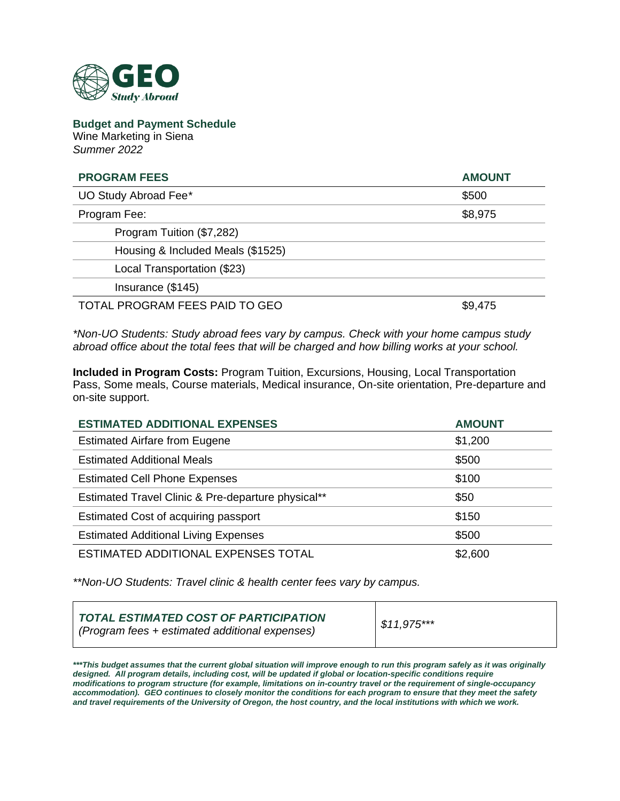

**Budget and Payment Schedule** Wine Marketing in Siena *Summer 2022*

| <b>PROGRAM FEES</b>               | <b>AMOUNT</b> |
|-----------------------------------|---------------|
| UO Study Abroad Fee*              | \$500         |
| Program Fee:                      | \$8,975       |
| Program Tuition (\$7,282)         |               |
| Housing & Included Meals (\$1525) |               |
| Local Transportation (\$23)       |               |
| Insurance (\$145)                 |               |
| TOTAL PROGRAM FEES PAID TO GEO    | \$9,475       |

*\*Non-UO Students: Study abroad fees vary by campus. Check with your home campus study abroad office about the total fees that will be charged and how billing works at your school.*

**Included in Program Costs:** Program Tuition, Excursions, Housing, Local Transportation Pass, Some meals, Course materials, Medical insurance, On-site orientation, Pre-departure and on-site support.

| <b>ESTIMATED ADDITIONAL EXPENSES</b>               | <b>AMOUNT</b> |
|----------------------------------------------------|---------------|
| <b>Estimated Airfare from Eugene</b>               | \$1,200       |
| <b>Estimated Additional Meals</b>                  | \$500         |
| <b>Estimated Cell Phone Expenses</b>               | \$100         |
| Estimated Travel Clinic & Pre-departure physical** | \$50          |
| Estimated Cost of acquiring passport               | \$150         |
| <b>Estimated Additional Living Expenses</b>        | \$500         |
| ESTIMATED ADDITIONAL EXPENSES TOTAL                | \$2,600       |

*\*\*Non-UO Students: Travel clinic & health center fees vary by campus.*

| TOTAL ESTIMATED COST OF PARTICIPATION<br>( <i>Program fees + estimated additional expenses</i> ) | $$11,975***$ |
|--------------------------------------------------------------------------------------------------|--------------|
|--------------------------------------------------------------------------------------------------|--------------|

*\*\*\*This budget assumes that the current global situation will improve enough to run this program safely as it was originally*  designed. All program details, including cost, will be updated if global or location-specific conditions require *modifications to program structure (for example, limitations on in-country travel or the requirement of single-occupancy accommodation). GEO continues to closely monitor the conditions for each program to ensure that they meet the safety and travel requirements of the University of Oregon, the host country, and the local institutions with which we work.*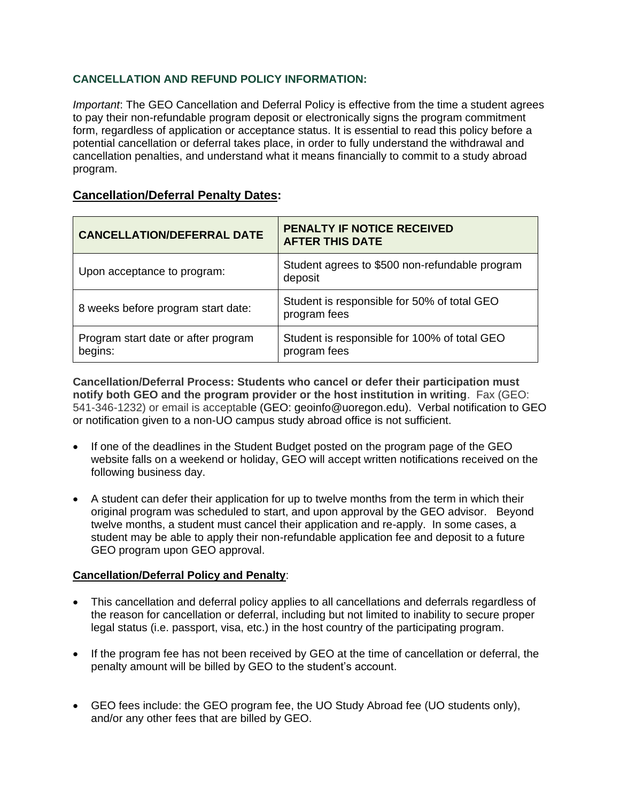# **CANCELLATION AND REFUND POLICY INFORMATION:**

*Important*: The GEO Cancellation and Deferral Policy is effective from the time a student agrees to pay their non-refundable program deposit or electronically signs the program commitment form, regardless of application or acceptance status. It is essential to read this policy before a potential cancellation or deferral takes place, in order to fully understand the withdrawal and cancellation penalties, and understand what it means financially to commit to a study abroad program.

# **Cancellation/Deferral Penalty Dates:**

| <b>CANCELLATION/DEFERRAL DATE</b>              | <b>PENALTY IF NOTICE RECEIVED</b><br><b>AFTER THIS DATE</b>  |
|------------------------------------------------|--------------------------------------------------------------|
| Upon acceptance to program:                    | Student agrees to \$500 non-refundable program<br>deposit    |
| 8 weeks before program start date:             | Student is responsible for 50% of total GEO<br>program fees  |
| Program start date or after program<br>begins: | Student is responsible for 100% of total GEO<br>program fees |

**Cancellation/Deferral Process: Students who cancel or defer their participation must notify both GEO and the program provider or the host institution in writing**. Fax (GEO: 541-346-1232) or email is acceptable (GEO: geoinfo@uoregon.edu). Verbal notification to GEO or notification given to a non-UO campus study abroad office is not sufficient.

- If one of the deadlines in the Student Budget posted on the program page of the GEO website falls on a weekend or holiday, GEO will accept written notifications received on the following business day.
- A student can defer their application for up to twelve months from the term in which their original program was scheduled to start, and upon approval by the GEO advisor. Beyond twelve months, a student must cancel their application and re-apply. In some cases, a student may be able to apply their non-refundable application fee and deposit to a future GEO program upon GEO approval.

### **Cancellation/Deferral Policy and Penalty**:

- This cancellation and deferral policy applies to all cancellations and deferrals regardless of the reason for cancellation or deferral, including but not limited to inability to secure proper legal status (i.e. passport, visa, etc.) in the host country of the participating program.
- If the program fee has not been received by GEO at the time of cancellation or deferral, the penalty amount will be billed by GEO to the student's account.
- GEO fees include: the GEO program fee, the UO Study Abroad fee (UO students only), and/or any other fees that are billed by GEO.